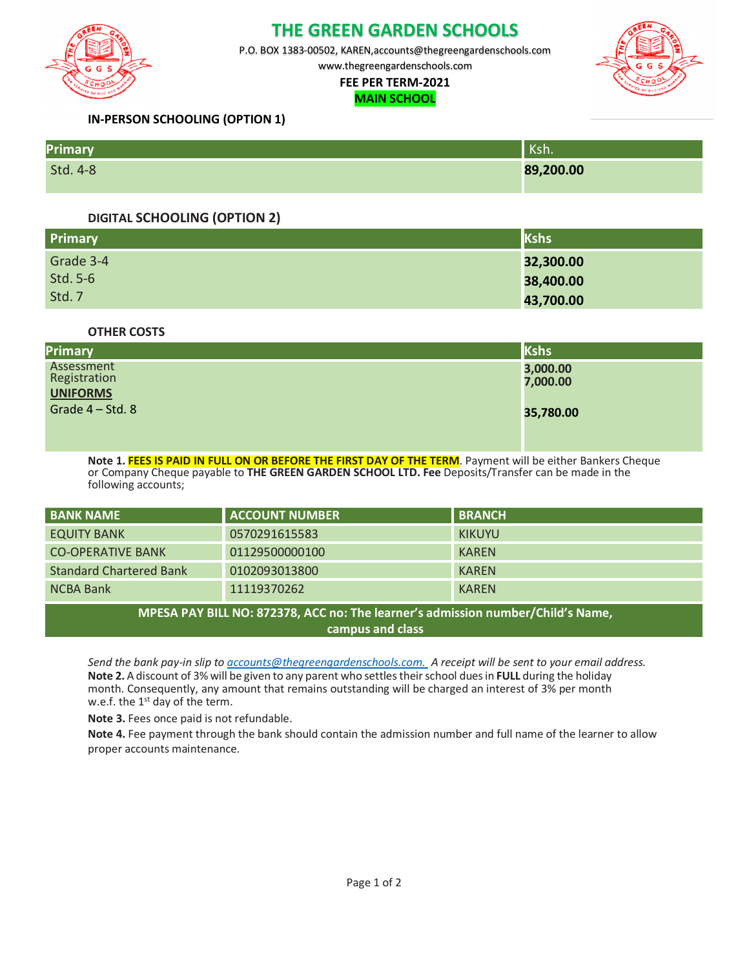

# **THE GREEN GARDEN SCHOOLS**

P.O. BOX 1383-00502, KAREN,accounts@thegreengardenschools.com

www.thegreengardenschools.com

# **FEE PER TERM-2021**

#### **MAIN SCHOOL**



## **IN-PERSON SCHOOLING (OPTION 1)**

| Primary  | .<br>NSII. |
|----------|------------|
| Std. 4-8 | 89,200.00  |

## **DIGITAL SCHOOLING (OPTION 2)**

| <b>Primary</b> | Kshs      |
|----------------|-----------|
| Grade 3-4      | 32,300.00 |
| Std. 5-6       | 38,400.00 |
| Std. 7         | 43,700.00 |

**OTHER COSTS**

| <b>Primary</b>    | Kshs      |
|-------------------|-----------|
| Assessment        | 3,000.00  |
| Registration      | 7,000.00  |
| <b>UNIFORMS</b>   |           |
| Grade $4 - Std.8$ | 35,780.00 |
|                   |           |
|                   |           |

**Note 1. FEES IS PAID IN FULL ON OR BEFORE THE FIRST DAY OF THE TERM**. Payment will be either Bankers Cheque or Company Cheque payable to **THE GREEN GARDEN SCHOOL LTD. Fee** Deposits/Transfer can be made in the following accounts;

| <b>BANK NAME</b>                                                                                    | <b>ACCOUNT NUMBER</b> | <b>BRANCH</b> |  |  |  |
|-----------------------------------------------------------------------------------------------------|-----------------------|---------------|--|--|--|
| <b>EQUITY BANK</b>                                                                                  | 0570291615583         | <b>KIKUYU</b> |  |  |  |
| <b>CO-OPERATIVE BANK</b>                                                                            | 01129500000100        | <b>KAREN</b>  |  |  |  |
| <b>Standard Chartered Bank</b>                                                                      | 0102093013800         | <b>KAREN</b>  |  |  |  |
| <b>NCBA Bank</b>                                                                                    | 11119370262           | <b>KAREN</b>  |  |  |  |
| MPESA PAY BILL NO: 872378, ACC no: The learner's admission number/Child's Name,<br>campus and class |                       |               |  |  |  |

*Send the bank pay-in slip to accounts@thegreengardenschools.com. A receipt will be sent to your email address.* **Note 2.** A discount of 3% will be given to any parent who settles theirschool duesin **FULL** during the holiday month. Consequently, any amount that remains outstanding will be charged an interest of 3% per month w.e.f. the  $1<sup>st</sup>$  day of the term.

**Note 3.** Fees once paid is not refundable.

**Note 4.** Fee payment through the bank should contain the admission number and full name of the learner to allow proper accounts maintenance.